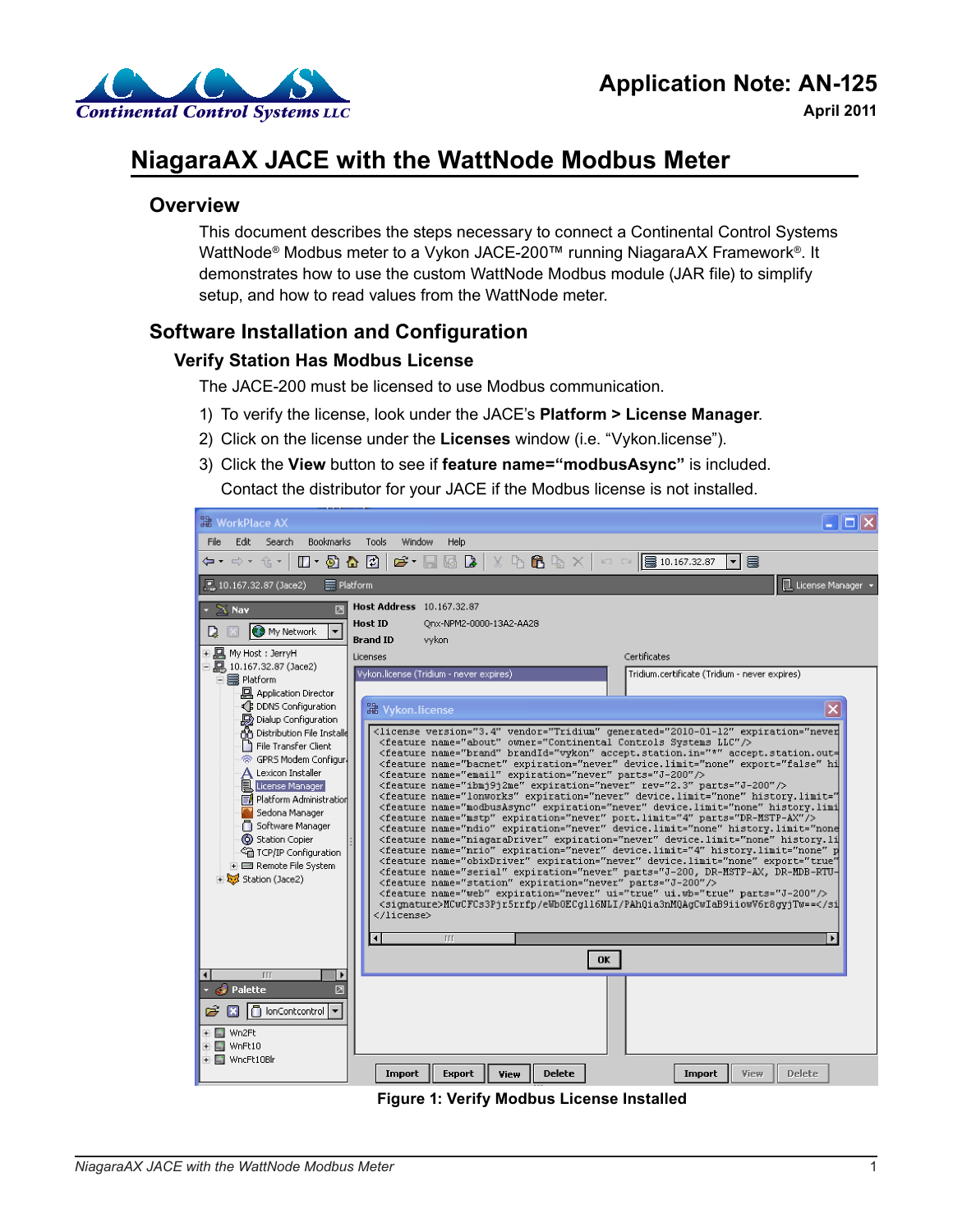

**April 2011**

# **NiagaraAX JACE with the WattNode Modbus Meter**

## **Overview**

This document describes the steps necessary to connect a Continental Control Systems WattNode® Modbus meter to a Vykon JACE-200™ running NiagaraAX Framework®. It demonstrates how to use the custom WattNode Modbus module (JAR file) to simplify setup, and how to read values from the WattNode meter.

# **Software Installation and Configuration**

## **Verify Station Has Modbus License**

The JACE-200 must be licensed to use Modbus communication.

- 1) To verify the license, look under the JACE's **Platform > License Manager**.
- 2) Click on the license under the **Licenses** window (i.e. "Vykon.license").
- 3) Click the **View** button to see if **feature name="modbusAsync"** is included. Contact the distributor for your JACE if the Modbus license is not installed.

| <b>NorkPlace AX</b>                                                                                                                                                                                                                                                                                                                                                                                                                                                                                                                                                                                                                                                                                                                                                                                                                                                                                                                                                                                                                                                                                                                                                                                                                                                                                                                                                                                                                                                                                                                                                                                                                                                                                                                                                                                                                                                                                                              |                                                                                                     |                                               |  |  |  |  |  |  |           |
|----------------------------------------------------------------------------------------------------------------------------------------------------------------------------------------------------------------------------------------------------------------------------------------------------------------------------------------------------------------------------------------------------------------------------------------------------------------------------------------------------------------------------------------------------------------------------------------------------------------------------------------------------------------------------------------------------------------------------------------------------------------------------------------------------------------------------------------------------------------------------------------------------------------------------------------------------------------------------------------------------------------------------------------------------------------------------------------------------------------------------------------------------------------------------------------------------------------------------------------------------------------------------------------------------------------------------------------------------------------------------------------------------------------------------------------------------------------------------------------------------------------------------------------------------------------------------------------------------------------------------------------------------------------------------------------------------------------------------------------------------------------------------------------------------------------------------------------------------------------------------------------------------------------------------------|-----------------------------------------------------------------------------------------------------|-----------------------------------------------|--|--|--|--|--|--|-----------|
| File<br>Edit Search<br><b>Bookmarks</b><br>Tools<br>Window<br>Help                                                                                                                                                                                                                                                                                                                                                                                                                                                                                                                                                                                                                                                                                                                                                                                                                                                                                                                                                                                                                                                                                                                                                                                                                                                                                                                                                                                                                                                                                                                                                                                                                                                                                                                                                                                                                                                               |                                                                                                     |                                               |  |  |  |  |  |  |           |
| $\mathfrak{S}$ . $\Box$ $\Box$ $\Box$<br>$X \oplus \mathbf{B} \rightarrow X$ $\sim$ $\blacksquare$ 10.167.32.87<br>$\Box$ - 5 4 5<br>⇔▼ ⇒▼ 仓▼<br>暠<br>▾╎                                                                                                                                                                                                                                                                                                                                                                                                                                                                                                                                                                                                                                                                                                                                                                                                                                                                                                                                                                                                                                                                                                                                                                                                                                                                                                                                                                                                                                                                                                                                                                                                                                                                                                                                                                         |                                                                                                     |                                               |  |  |  |  |  |  |           |
| . 10.167.32.87 (Jace2)<br>$\equiv$ Platform                                                                                                                                                                                                                                                                                                                                                                                                                                                                                                                                                                                                                                                                                                                                                                                                                                                                                                                                                                                                                                                                                                                                                                                                                                                                                                                                                                                                                                                                                                                                                                                                                                                                                                                                                                                                                                                                                      |                                                                                                     | 且 License Manager                             |  |  |  |  |  |  |           |
| $\times$ Nav<br>囥<br>D<br><b>C.3</b> My Network<br>$\overline{\phantom{a}}$<br>∓ 및 My Host : JerryH                                                                                                                                                                                                                                                                                                                                                                                                                                                                                                                                                                                                                                                                                                                                                                                                                                                                                                                                                                                                                                                                                                                                                                                                                                                                                                                                                                                                                                                                                                                                                                                                                                                                                                                                                                                                                              | Host Address 10.167.32.87<br><b>Host ID</b><br>Onx-NPM2-0000-13A2-AA28<br><b>Brand ID</b><br>vykon. |                                               |  |  |  |  |  |  |           |
| $\Box$ , 10.167.32.87 (Jace2)                                                                                                                                                                                                                                                                                                                                                                                                                                                                                                                                                                                                                                                                                                                                                                                                                                                                                                                                                                                                                                                                                                                                                                                                                                                                                                                                                                                                                                                                                                                                                                                                                                                                                                                                                                                                                                                                                                    | Licenses                                                                                            | Certificates                                  |  |  |  |  |  |  |           |
|                                                                                                                                                                                                                                                                                                                                                                                                                                                                                                                                                                                                                                                                                                                                                                                                                                                                                                                                                                                                                                                                                                                                                                                                                                                                                                                                                                                                                                                                                                                                                                                                                                                                                                                                                                                                                                                                                                                                  | Vykon, license (Tridium - never expires)                                                            | Tridium.certificate (Tridium - never expires) |  |  |  |  |  |  |           |
| <b>回</b> Application Director<br>Le DDNS Configuration<br><b>H</b> Vykon.license<br>×<br>Dialup Configuration<br><license about"="" expiration="never&lt;br&gt;A Distribution File Installe&lt;br&gt;&lt;feature name=" owner="Continental Controls Systems LLC" qenerated="2010-01-12" vendor="Tridium" version="3.4"></license><br>File Transfer Client<br><feature accept.station.in="*" accept.station.out="&lt;br" brandid="vykon" name="brand">◎ GPRS Modem Configur<br/><feature device.limit="none" expiration="never" export="false" hi<br="" name="bacnet">Lexicon Installer<br/><feature expiration="never" name="email" parts="J-200"></feature><br/>License Manager<br/><feature expiration="never" name="ibmj9j2me" parts="J-200" rev="2.3"></feature><br/><feature device.limit="none" expiration="never" history.limi<br="" history.limit="&lt;br&gt;(≣∦ Platform Administration&lt;br&gt;&lt;feature name=" modbusasync"="" name="lonworks">Sedona Manager<br/><feature expiration="never" name="mstp" parts="DR-MSTP-AX" port.limit="4"></feature><br/>Software Manager<br/><feature device.limit="none" expiration="never" history.li<br="" history.limit="none&lt;br&gt;&lt;b&gt;O&lt;/b&gt; Station Copier&lt;br&gt;&lt;feature name=" name="ndio" niagaradriver"=""><feature device.limit="4" expiration="never" history.limit="none" name="nrio" p<br=""><sup>C</sup>in TCP/IP Configuration<br/><feature <br="" device.limit="none" expiration="never" export="true" name="obixDriver">i+ El Remote File System<br/><feature expiration="never" name="serial" parts="J-200" station"=""></feature><br/><feature expiration="never" name="web" parts="J-200" ui="true" ui.wb="true"></feature><br/><signature>MCwCFCs3Pir5rrfp/eWbOECg116NLI/PAh0ia3nM0AgCwIaB9iiowV6r8gviTw==<br/><b>III</b><br/><math>\blacktriangleleft</math></signature></feature></feature></feature></feature></feature></feature> |                                                                                                     |                                               |  |  |  |  |  |  |           |
|                                                                                                                                                                                                                                                                                                                                                                                                                                                                                                                                                                                                                                                                                                                                                                                                                                                                                                                                                                                                                                                                                                                                                                                                                                                                                                                                                                                                                                                                                                                                                                                                                                                                                                                                                                                                                                                                                                                                  |                                                                                                     |                                               |  |  |  |  |  |  | <b>OK</b> |
| <b>TTT</b><br><b>C</b> Palette<br>囥                                                                                                                                                                                                                                                                                                                                                                                                                                                                                                                                                                                                                                                                                                                                                                                                                                                                                                                                                                                                                                                                                                                                                                                                                                                                                                                                                                                                                                                                                                                                                                                                                                                                                                                                                                                                                                                                                              |                                                                                                     |                                               |  |  |  |  |  |  |           |
| 户<br>$\bigcap$ lonContcontrol $\blacktriangledown$<br>+ m Wn2Ft                                                                                                                                                                                                                                                                                                                                                                                                                                                                                                                                                                                                                                                                                                                                                                                                                                                                                                                                                                                                                                                                                                                                                                                                                                                                                                                                                                                                                                                                                                                                                                                                                                                                                                                                                                                                                                                                  |                                                                                                     |                                               |  |  |  |  |  |  |           |
| + MnFt10                                                                                                                                                                                                                                                                                                                                                                                                                                                                                                                                                                                                                                                                                                                                                                                                                                                                                                                                                                                                                                                                                                                                                                                                                                                                                                                                                                                                                                                                                                                                                                                                                                                                                                                                                                                                                                                                                                                         |                                                                                                     |                                               |  |  |  |  |  |  |           |
| + MncFt10Blr                                                                                                                                                                                                                                                                                                                                                                                                                                                                                                                                                                                                                                                                                                                                                                                                                                                                                                                                                                                                                                                                                                                                                                                                                                                                                                                                                                                                                                                                                                                                                                                                                                                                                                                                                                                                                                                                                                                     | <b>Delete</b><br>Import<br><b>Export</b><br>View                                                    | <b>View</b><br><b>Delete</b><br>Import        |  |  |  |  |  |  |           |

**Figure 1: Verify Modbus License Installed**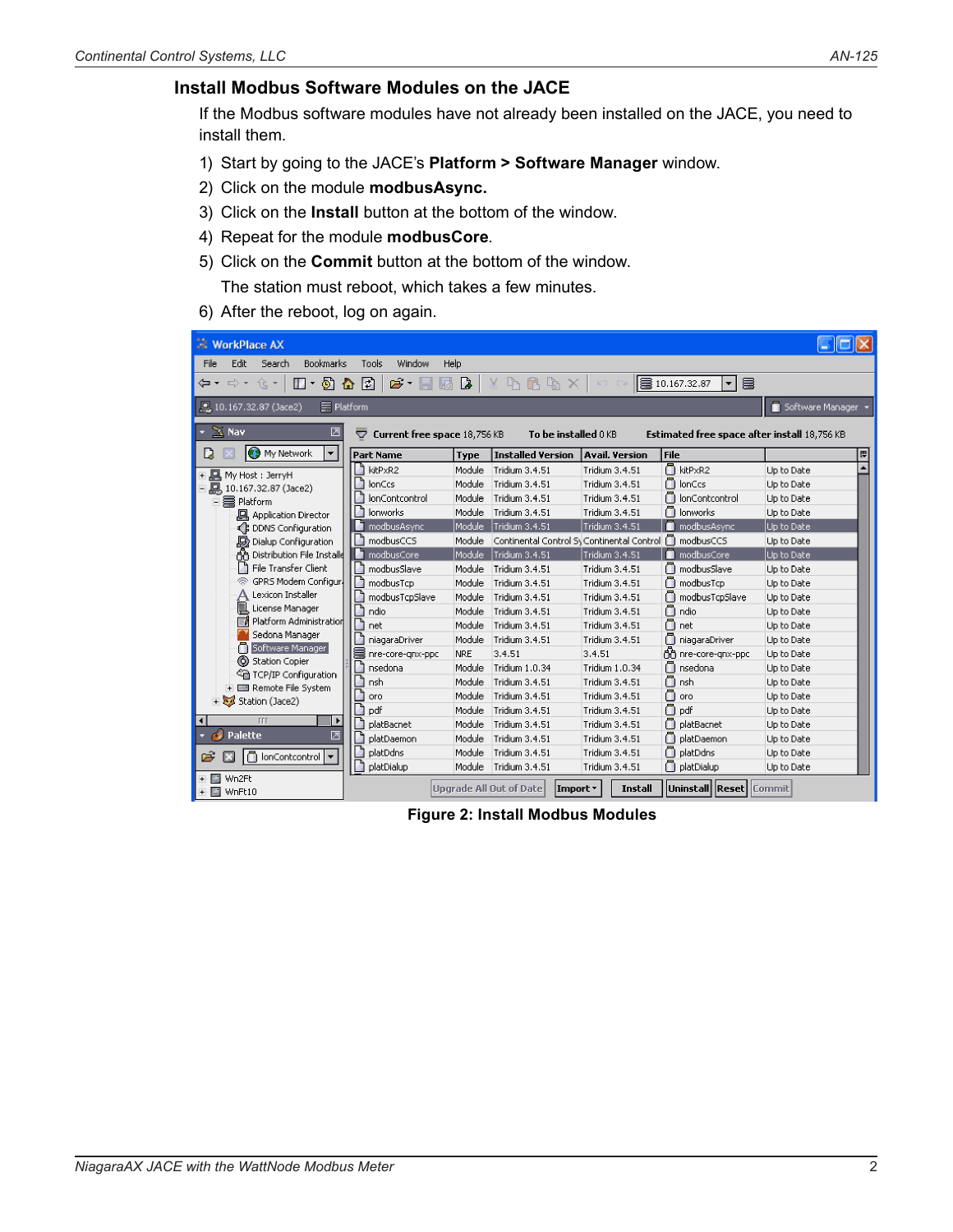## **Install Modbus Software Modules on the JACE**

If the Modbus software modules have not already been installed on the JACE, you need to install them.

- 1) Start by going to the JACE's **Platform > Software Manager** window.
- 2) Click on the module **modbusAsync.**
- 3) Click on the **Install** button at the bottom of the window.
- 4) Repeat for the module **modbusCore**.
- 5) Click on the **Commit** button at the bottom of the window.

The station must reboot, which takes a few minutes.

6) After the reboot, log on again.

| <b>WorkPlace AX</b>                                                                                                                                                                  |                                |             |                                                                          |                       |                          |            |  |  |  |
|--------------------------------------------------------------------------------------------------------------------------------------------------------------------------------------|--------------------------------|-------------|--------------------------------------------------------------------------|-----------------------|--------------------------|------------|--|--|--|
| Edit<br><b>Bookmarks</b><br>File<br>Search<br>Tools<br>Window<br>Help                                                                                                                |                                |             |                                                                          |                       |                          |            |  |  |  |
| $\mathbf{c} \cdot \mathbf{H}$<br>$\boxtimes$ $\boxtimes$<br>めん む<br>  ■ 10.167.32.87<br>B<br>仓土<br>$\Delta$ 6 $\Delta$ $\times$ 1<br>(⊒▼ ⊏) ▼<br>$\mathbf{E}$ –<br>▾<br><b>KO DA</b> |                                |             |                                                                          |                       |                          |            |  |  |  |
| Software Manager<br>. 10.167.32.87 (Jace2)<br>$\equiv$ Platform                                                                                                                      |                                |             |                                                                          |                       |                          |            |  |  |  |
| $\mathbb{X}$ Nav<br>☑<br>Current free space 18,756 KB<br>To be installed 0 KB<br>▽<br>Estimated free space after install 18,756 KB                                                   |                                |             |                                                                          |                       |                          |            |  |  |  |
| $\overline{\phantom{a}}$<br><b>B</b> My Network<br>L)                                                                                                                                | <b>Part Name</b>               | <b>Type</b> | <b>Installed Version</b>                                                 | <b>Avail, Version</b> | l File                   | 同          |  |  |  |
|                                                                                                                                                                                      | kitPxR2                        | Module      | Tridium 3.4.51                                                           | Tridium 3.4.51        | <b>N</b> kitPxR2         | Up to Date |  |  |  |
| - 回<br>My Host : JerryH                                                                                                                                                              | đ<br>lonCcs                    | Module      | Tridium 3.4.51                                                           | Tridium 3.4.51        | n lonCcs                 | Up to Date |  |  |  |
| - 10.167.32.87 (Jace2)                                                                                                                                                               | <b>IonContcontrol</b>          | Module      | Tridium 3.4.51                                                           | Tridium 3.4.51        | n lonContcontrol         | Up to Date |  |  |  |
| 白霉 Platform                                                                                                                                                                          | <b>lonworks</b>                | Module      | Tridium 3.4.51                                                           | Tridium 3.4.51        | n lonworks               | Up to Date |  |  |  |
| <b>回</b> Application Director                                                                                                                                                        |                                | Module      |                                                                          | Tridium 3.4.51        |                          |            |  |  |  |
| ← DDNS Configuration                                                                                                                                                                 | modbusAsync<br>I٦<br>modbusCCS |             | Tridium 3.4.51<br>Continental Control Sy Continental Control n modbusCCS |                       | nodbusAsync              | Up to Date |  |  |  |
| Dialup Configuration                                                                                                                                                                 | л                              | Module      |                                                                          |                       | modbusCore               | Up to Date |  |  |  |
| ሐ<br>Distribution File Installe<br>File Transfer Client<br>h                                                                                                                         | modbusCore<br>J.               | Module      | Tridium 3.4.51                                                           | Tridium 3.4.51        |                          | Up to Date |  |  |  |
| GPRS Modem Configur.<br>B                                                                                                                                                            | modbusSlave                    | Module      | Tridium 3.4.51                                                           | Tridium 3.4.51        | modbusSlave              | Up to Date |  |  |  |
| Lexicon Installer                                                                                                                                                                    | modbusTcp                      | Module      | Tridium 3.4.51                                                           | Tridium 3.4.51        | modbusTcp                | Up to Date |  |  |  |
| 圁<br>License Manager                                                                                                                                                                 | modbusTcpSlave                 | Module      | Tridium 3.4.51                                                           | Tridium 3.4.51        | modbusTcpSlave           | Up to Date |  |  |  |
| Platform Administration<br>E                                                                                                                                                         | ndio                           | Module      | Tridium 3.4.51                                                           | Tridium 3.4.51        | Ω<br>ndio                | Up to Date |  |  |  |
| Sedona Manager                                                                                                                                                                       | J,<br>net                      | Module      | Tridium 3.4.51                                                           | Tridium 3.4.51        | Ω<br>net                 | Up to Date |  |  |  |
| Software Manager                                                                                                                                                                     | niagaraDriver                  | Module      | Tridium 3.4.51                                                           | Tridium 3.4.51        | niagaraDriver            | Up to Date |  |  |  |
| O<br><b>Station Copier</b>                                                                                                                                                           | s<br>nre-core-gnx-ppc          | <b>NRE</b>  | 3.4.51                                                                   | 3.4.51                | fin nre-core-gnx-ppc     | Up to Date |  |  |  |
| <sup>C</sup> in TCP/IP Configuration                                                                                                                                                 | ٦<br>nsedona                   | Module      | Tridium 1.0.34                                                           | Tridium 1.0.34        | nsedona                  | Up to Date |  |  |  |
| E El Remote File System                                                                                                                                                              | nsh                            | Module      | Tridium 3.4.51                                                           | Tridium 3.4.51        | Ω<br>nsh                 | Up to Date |  |  |  |
| + Station (Jace2)                                                                                                                                                                    | oro                            | Module      | Tridium 3.4.51                                                           | Tridium 3.4.51        | Ω<br>oro                 | Up to Date |  |  |  |
|                                                                                                                                                                                      | à<br>pdf                       | Module      | Tridium 3.4.51                                                           | Tridium 3.4.51        | $\Box$ pdf               | Up to Date |  |  |  |
| TTT<br>$\blacktriangleleft$                                                                                                                                                          | platBacnet                     | Module      | Tridium 3.4.51                                                           | Tridium 3.4.51        | m<br>platBacnet          | Up to Date |  |  |  |
| <b>Palette</b>                                                                                                                                                                       | platDaemon                     | Module      | Tridium 3.4.51                                                           | Tridium 3.4.51        | n platDaemon             | Up to Date |  |  |  |
| چم<br>IonContcontrol                                                                                                                                                                 | platDdns                       | Module      | Tridium 3.4.51                                                           | Tridium 3.4.51        | platDdns                 | Up to Date |  |  |  |
|                                                                                                                                                                                      | platDialup                     | Module      | Tridium 3.4.51                                                           | Tridium 3.4.51        | platDialup               | Up to Date |  |  |  |
| Wn2Ft<br>$+$ $ -$<br>and in<br>WnFt10<br>$+$                                                                                                                                         |                                |             | Uparade All Out of Date<br>Import *                                      | Install               | Uninstall  Reset  Commit |            |  |  |  |

**Figure 2: Install Modbus Modules**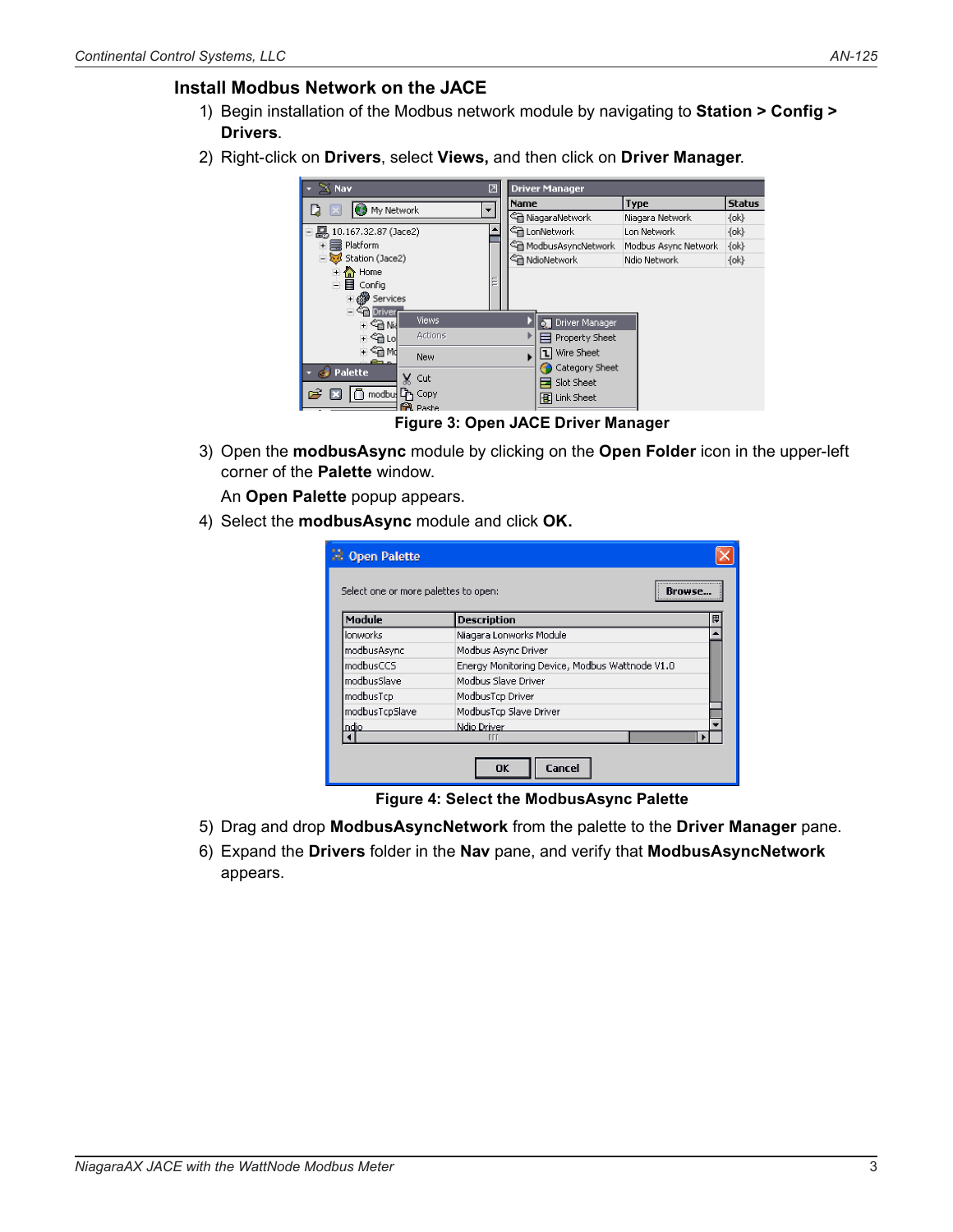## **Install Modbus Network on the JACE**

- 1) Begin installation of the Modbus network module by navigating to **Station > Config > Drivers**.
- 2) Right-click on **Drivers**, select **Views,** and then click on **Driver Manager**.



**Figure 3: Open JACE Driver Manager**

3) Open the **modbusAsync** module by clicking on the **Open Folder** icon in the upper-left corner of the **Palette** window.

An **Open Palette** popup appears.

4) Select the **modbusAsync** module and click **OK.**

| : Open Palette<br>Select one or more palettes to open: |                                                |   |
|--------------------------------------------------------|------------------------------------------------|---|
| Module                                                 | <b>Description</b>                             | 思 |
| lonworks                                               | Niagara Lonworks Module                        |   |
| modbusAsync                                            | Modbus Async Driver                            |   |
| modbusCCS                                              | Energy Monitoring Device, Modbus Wattnode V1.0 |   |
| modbusSlave                                            | Modbus Slave Driver                            |   |
| modbusTcp                                              | ModbusTcp Driver                               |   |
| modbusTcpSlave                                         | ModbusTcp Slave Driver                         |   |
| ndio.                                                  | Ndio Driver                                    |   |
|                                                        | Ш                                              |   |

**Figure 4: Select the ModbusAsync Palette**

- 5) Drag and drop **ModbusAsyncNetwork** from the palette to the **Driver Manager** pane.
- 6) Expand the **Drivers** folder in the **Nav** pane, and verify that **ModbusAsyncNetwork** appears.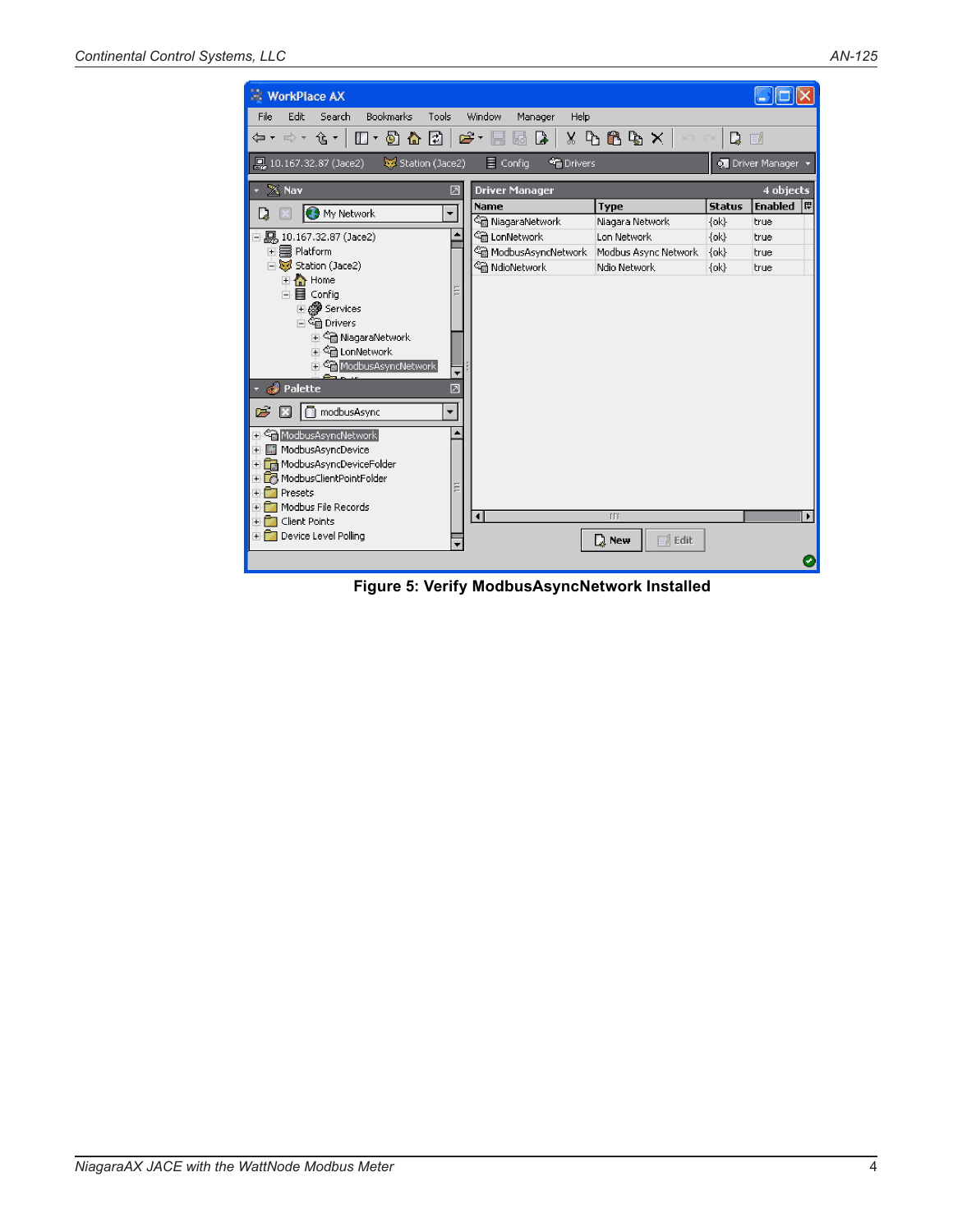

**Figure 5: Verify ModbusAsyncNetwork Installed**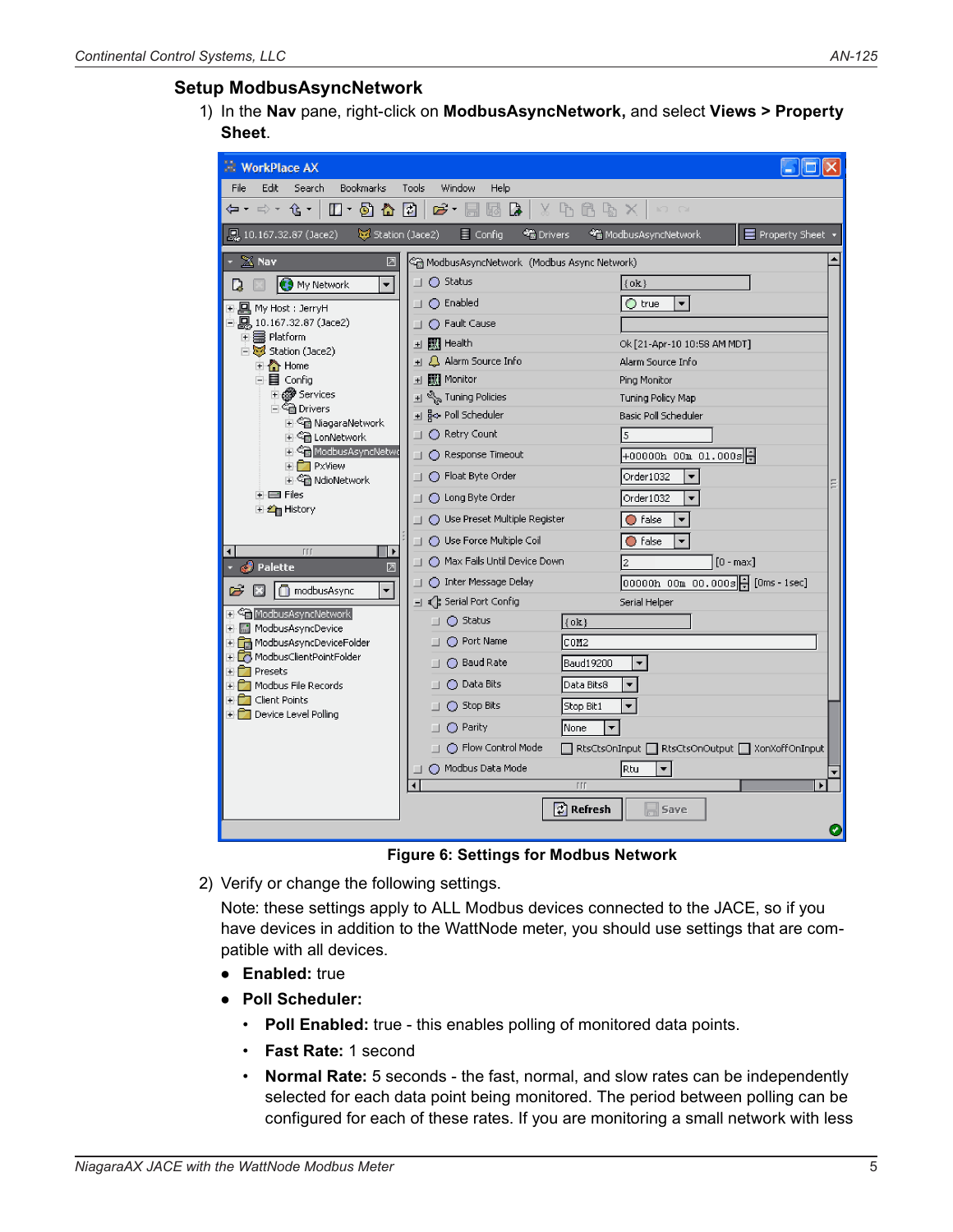## **Setup ModbusAsyncNetwork**

1) In the **Nav** pane, right-click on **ModbusAsyncNetwork,** and select **Views > Property Sheet**.

| <b>WorkPlace AX</b>                                                    |                                                        |                                               |
|------------------------------------------------------------------------|--------------------------------------------------------|-----------------------------------------------|
| Edit<br>File<br>Search<br>Bookmarks                                    | <b>Tools</b><br>Window<br>Help                         |                                               |
| $\Box$ + $\odot$ $\bigcirc$ + $\Box$ +<br>⇦▾ ⇨▾ ⇪▼│                    | $\mathfrak{S}$ . Effect to $\mathfrak{g}$ if           | $X \rightarrow B \rightarrow X \rightarrow A$ |
| Station (Jace2)<br><b>Q</b> <sub>4</sub> 10.167.32.87 (Jace2)          | $\equiv$ Config<br><sup>o</sup> Drivers                | E Property Sheet<br>ModbusAsyncNetwork        |
| $\sim 20$ Nav<br>⊠                                                     | ्ति ModbusAsyncNetwork  (Modbus Async Network)         |                                               |
| $\overline{\phantom{a}}$<br><b>O</b> My Network<br>D                   | $\Box$ $\bigcirc$ Status                               | $\{ok\}$                                      |
| 표 및 My Host : JerryH                                                   | $\Box$ $\bigcirc$ Enabled                              | $\overline{\mathbf{v}}$<br>◯ true             |
| 白鳳, 10.167.32.87 (Jace2)                                               | $\Box$ $\bigcirc$ Fault Cause                          |                                               |
| □ a Platform<br>Station (Jace2)                                        | 国     Health                                           | Ok [21-Apr-10 10:58 AM MDT]                   |
| 国会 Home                                                                | + Q Alarm Source Info                                  | Alarm Source Info                             |
| 白目 Config                                                              |                                                        | Ping Monitor                                  |
| <b>El @</b> Services<br>白 @ Drivers                                    | $\textbf{H} \overset{\text{eq}}{\sim}$ Tuning Policies | Tuning Policy Map                             |
| □ ○ NiagaraNetwork                                                     | 표 g<- Poll Scheduler                                   | Basic Poll Scheduler                          |
| 国 Sm LonNetwork<br>国 Gin ModbusAsyncNetwo                              | □ ● Retry Count                                        | 5                                             |
| E <b>PxView</b>                                                        | $\Box$ $\bigcirc$ Response Timeout                     |                                               |
| 由 Sm NdioNetwork                                                       | □ ○ Float Byte Order                                   | Order1032<br>$\overline{\phantom{a}}$         |
| → 国 Files<br>国名 History                                                | □ ○ Long Byte Order                                    | Order1032<br>٠                                |
|                                                                        | □ ○ Use Preset Multiple Register                       | ◯ false                                       |
| TTT<br>$\blacksquare$<br>▶                                             | □ ○ Use Force Multiple Coil                            | ◯ false<br>۰                                  |
| Palette<br>♬                                                           | □ ○ Max Fails Until Device Down                        | $[0 - max]$<br>2                              |
| $\overline{\phantom{a}}$<br>modbusAsync<br>$\Rightarrow$<br>в          | ◯ Inter Message Delay                                  | 00000h 00m 00.000s   [Oms - 1sec]             |
|                                                                        | □ 《 B Serial Port Config                               | Serial Helper                                 |
| <del>파<sup>-2</sup> M</del> odbusAsyncNetwork<br>+ ■ ModbusAsyncDevice | $\Box$ $\bigcirc$ Status<br>$\{ok\}$                   |                                               |
| + <b>F</b> ModbusAsyncDeviceFolder                                     | $\bigcirc$ Port Name<br>COM2                           |                                               |
| + 3 ModbusClientPointFolder<br>+ <b>7</b> Presets                      | ◯ Baud Rate<br>Baud19200                               | ۳                                             |
| + <b>FT</b> Modbus File Records                                        | ◯ Data Bits<br>Data Bits8                              |                                               |
| + Client Points                                                        | ◯ Stop Bits<br>Stop Bit1                               | ÷.                                            |
| + Device Level Polling                                                 | ◯ Parity<br>None                                       |                                               |
|                                                                        | $\Box$ $\bigcirc$ Flow Control Mode                    | RtsCtsOnInput RtsCtsOnOutput NonXoffOnInput   |
|                                                                        | O Modbus Data Mode                                     | Rtu                                           |
|                                                                        | $\blacktriangleleft$<br><b>TTT</b>                     |                                               |
|                                                                        | $\left  \vec{z} \right $ Refresh                       | Save                                          |
|                                                                        |                                                        | ✓                                             |

**Figure 6: Settings for Modbus Network**

2) Verify or change the following settings.

Note: these settings apply to ALL Modbus devices connected to the JACE, so if you have devices in addition to the WattNode meter, you should use settings that are compatible with all devices.

- **Enabled:** true
- **Poll Scheduler:**
	- • **Poll Enabled:** true this enables polling of monitored data points.
	- • **Fast Rate:** 1 second
	- • **Normal Rate:** 5 seconds the fast, normal, and slow rates can be independently selected for each data point being monitored. The period between polling can be configured for each of these rates. If you are monitoring a small network with less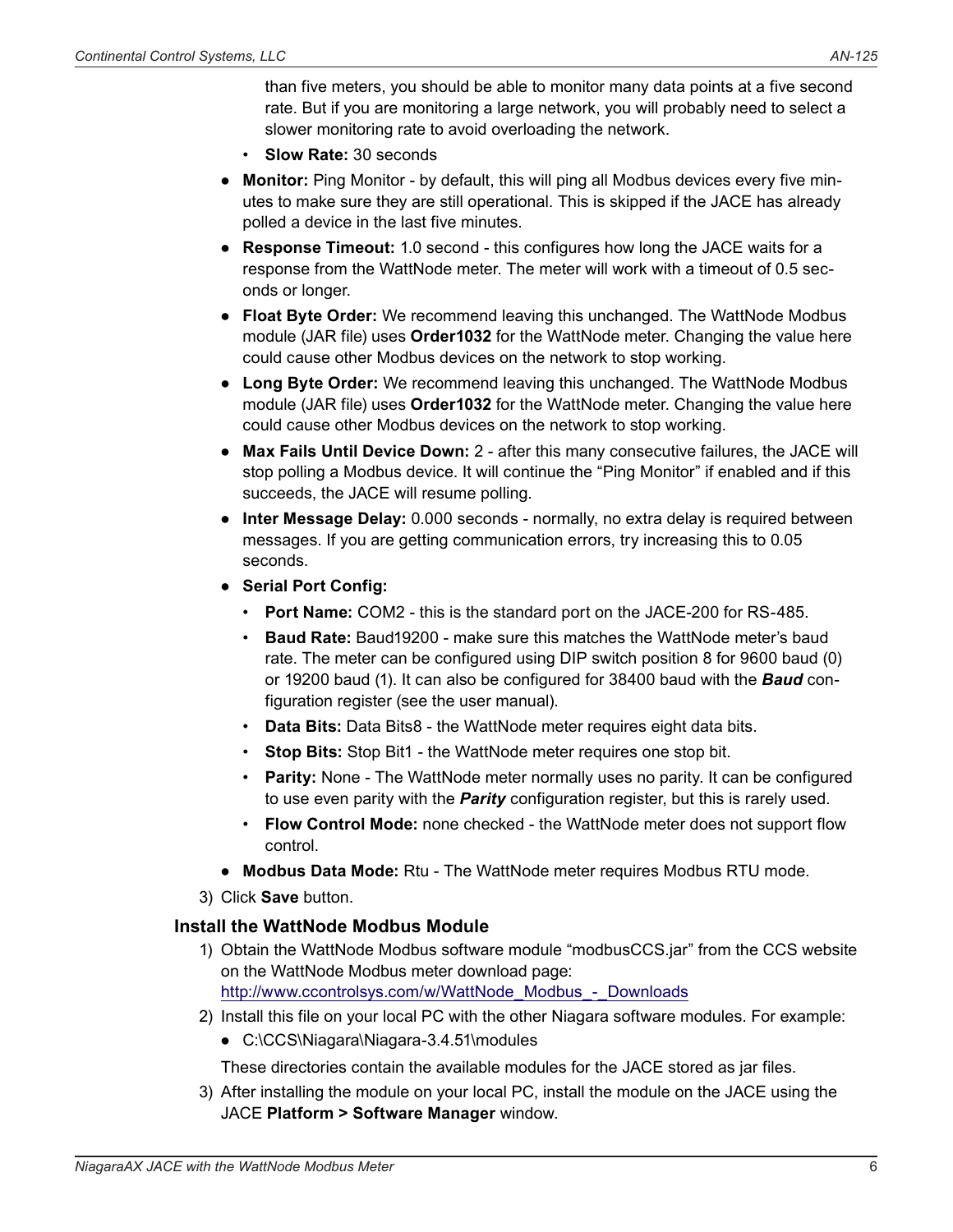than five meters, you should be able to monitor many data points at a five second rate. But if you are monitoring a large network, you will probably need to select a slower monitoring rate to avoid overloading the network.

- • **Slow Rate:** 30 seconds
- **Monitor:** Ping Monitor by default, this will ping all Modbus devices every five minutes to make sure they are still operational. This is skipped if the JACE has already polled a device in the last five minutes.
- **Response Timeout:** 1.0 second this configures how long the JACE waits for a response from the WattNode meter. The meter will work with a timeout of 0.5 seconds or longer.
- **Float Byte Order:** We recommend leaving this unchanged. The WattNode Modbus module (JAR file) uses **Order1032** for the WattNode meter. Changing the value here could cause other Modbus devices on the network to stop working.
- **Long Byte Order:** We recommend leaving this unchanged. The WattNode Modbus module (JAR file) uses **Order1032** for the WattNode meter. Changing the value here could cause other Modbus devices on the network to stop working.
- **Max Fails Until Device Down:** 2 after this many consecutive failures, the JACE will stop polling a Modbus device. It will continue the "Ping Monitor" if enabled and if this succeeds, the JACE will resume polling.
- **Inter Message Delay:** 0.000 seconds normally, no extra delay is required between messages. If you are getting communication errors, try increasing this to 0.05 seconds.
- **Serial Port Config:**
	- • **Port Name:** COM2 this is the standard port on the JACE-200 for RS-485.
	- • **Baud Rate:** Baud19200 make sure this matches the WattNode meter's baud rate. The meter can be configured using DIP switch position 8 for 9600 baud (0) or 19200 baud (1). It can also be configured for 38400 baud with the *Baud* configuration register (see the user manual).
	- • **Data Bits:** Data Bits8 the WattNode meter requires eight data bits.
	- • **Stop Bits:** Stop Bit1 the WattNode meter requires one stop bit.
	- Parity: None The WattNode meter normally uses no parity. It can be configured to use even parity with the *Parity* configuration register, but this is rarely used.
	- • **Flow Control Mode:** none checked the WattNode meter does not support flow control.
- **Modbus Data Mode:** Rtu The WattNode meter requires Modbus RTU mode.
- 3) Click **Save** button.

#### **Install the WattNode Modbus Module**

- 1) Obtain the WattNode Modbus software module "modbusCCS.jar" from the CCS website on the WattNode Modbus meter download page: http://www.ccontrolsys.com/w/WattNode Modbus - Downloads
- 2) Install this file on your local PC with the other Niagara software modules. For example:
	- C:\CCS\Niagara\Niagara-3.4.51\modules

These directories contain the available modules for the JACE stored as jar files.

3) After installing the module on your local PC, install the module on the JACE using the JACE **Platform > Software Manager** window.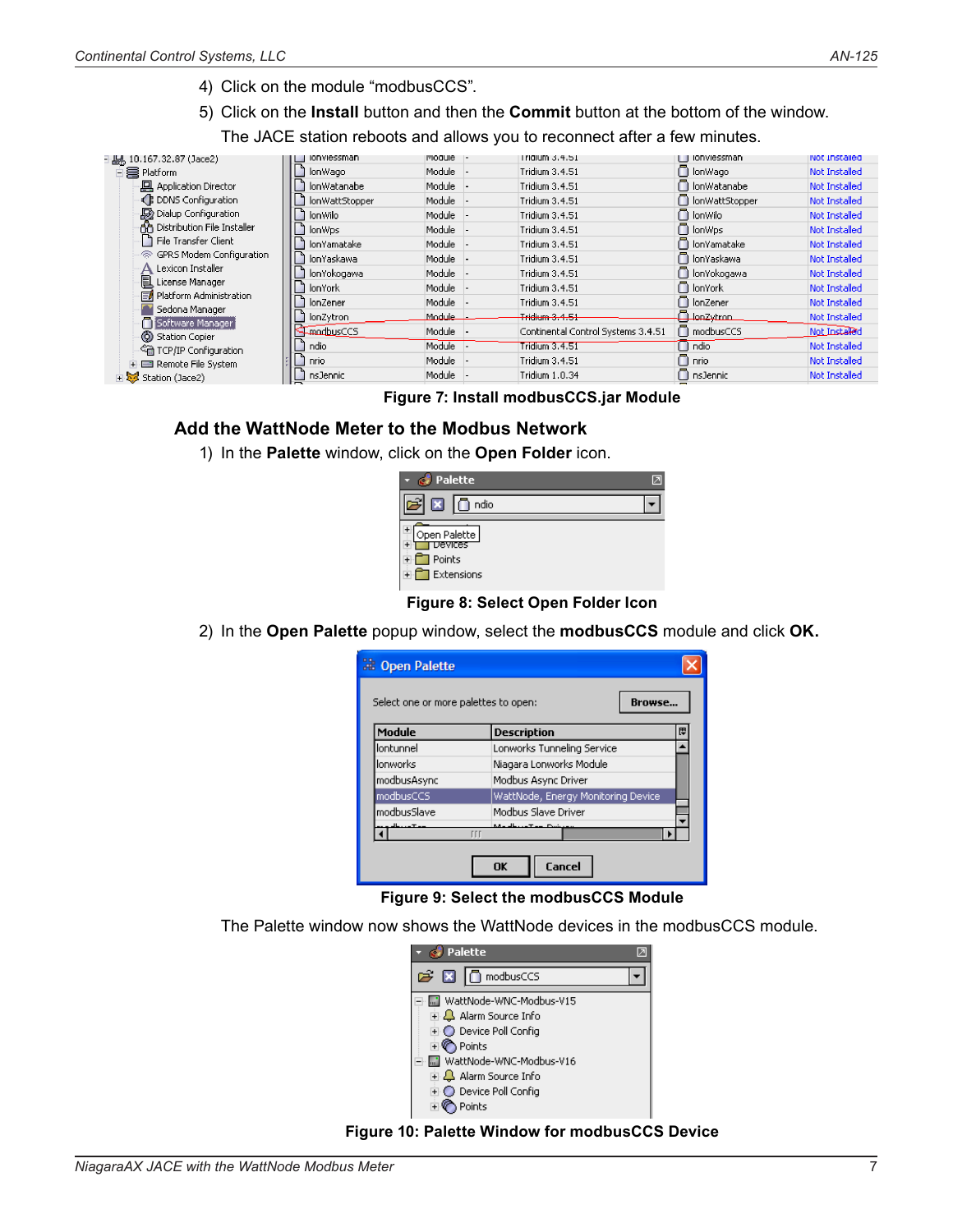4) Click on the module "modbusCCS".

5) Click on the **Install** button and then the **Commit** button at the bottom of the window.

The JACE station reboots and allows you to reconnect after a few minutes.

|                                    | <b>IONVIESSMAN</b> | <b>PIOQUIE</b> | Trigium 3.4.51                     | Ionviessman        | inot Installed       |
|------------------------------------|--------------------|----------------|------------------------------------|--------------------|----------------------|
| 白霉 Platform                        | lonWago            | Module         | Tridium 3.4.51                     | n lonWago          | Not Installed        |
| <b>回</b> Application Director      | lonWatanabe        | Module         | Tridium 3.4.51                     | n lonWatanabe      | Not Installed        |
| ← DDNS Configuration               | lonWattStopper     | Module         | Tridium 3.4.51                     | nowattStopper      | Not Installed        |
| Dialup Configuration               | lonWilo            | Module         | Tridium 3.4.51                     | n lonWilo          | Not Installed        |
| n Distribution File Installer      | lonWps             | Module         | Tridium 3.4.51                     | n lonWps           | Not Installed        |
| File Transfer Client               | lonYamatake        | Module         | Tridium 3.4.51                     | n lonYamatake      | Not Installed        |
| 帝 GPRS Modem Configuration         | lonYaskawa         | Module         | Tridium 3.4.51                     | n lonYaskawa       | <b>Not Installed</b> |
| Lexicon Installer                  | lonYokogawa        | Module         | Tridium 3.4.51                     | n lonYokogawa      | Not Installed        |
| 图 License Manager                  | lonYork            | Module         | Tridium 3.4.51                     | n lonYork          | Not Installed        |
| ■ Platform Administration          | lonZener           | Module         | Tridium 3.4.51                     | $\Box$ lonZener    | Not Installed        |
| Sedona Manager<br>Software Manager | lonZytron          | Module         | Tridium 3.4.51                     | <b>D</b> lonZytron | Not Installed        |
| (6) Station Copier                 | <b>FinadbusCCS</b> | Module         | Continental Control Systems 3.4.51 | $\Box$ modbusCCS   | Not Installed        |
| <⊂a TCP/IP Configuration           | ndio               | Module         | <b>Tridium 3.4.51</b>              | $\Box$ ndio        | Not Installed        |
| F El Remote File System            | T nrio             | Module         | Tridium 3.4.51                     | $\Box$ nrio        | Not Installed        |
| $\mathbb{F}$ Station (Jace2)       | nsJennic           | Module         | Tridium 1.0.34                     | nsJennic           | Not Installed        |
|                                    |                    |                |                                    |                    |                      |

**Figure 7: Install modbusCCS.jar Module**

## **Add the WattNode Meter to the Modbus Network**

1) In the **Palette** window, click on the **Open Folder** icon.

| Palette                 |  |
|-------------------------|--|
| ⊠<br>ndio               |  |
| Open Palette<br>vevices |  |
| ▌Points<br>】Extensions  |  |

#### **Figure 8: Select Open Folder Icon**

2) In the **Open Palette** popup window, select the **modbusCCS** module and click **OK.**

| Copen Palette                        |                                    |               |
|--------------------------------------|------------------------------------|---------------|
| Select one or more palettes to open: |                                    | <b>Rrnwse</b> |
| Module                               | <b>Description</b>                 | 毘             |
| lontunnel                            | Lonworks Tunneling Service         |               |
| lonworks                             | Niagara Lonworks Module            |               |
| modbusAsync                          | Modbus Async Driver                |               |
| modbusCCS                            | WattNode, Energy Monitoring Device |               |
| modbusSlave                          | Modbus Slave Driver                |               |
|                                      | <b>TTT</b>                         |               |
|                                      | Cancel<br>OK                       |               |

**Figure 9: Select the modbusCCS Module**

The Palette window now shows the WattNode devices in the modbusCCS module.



**Figure 10: Palette Window for modbusCCS Device**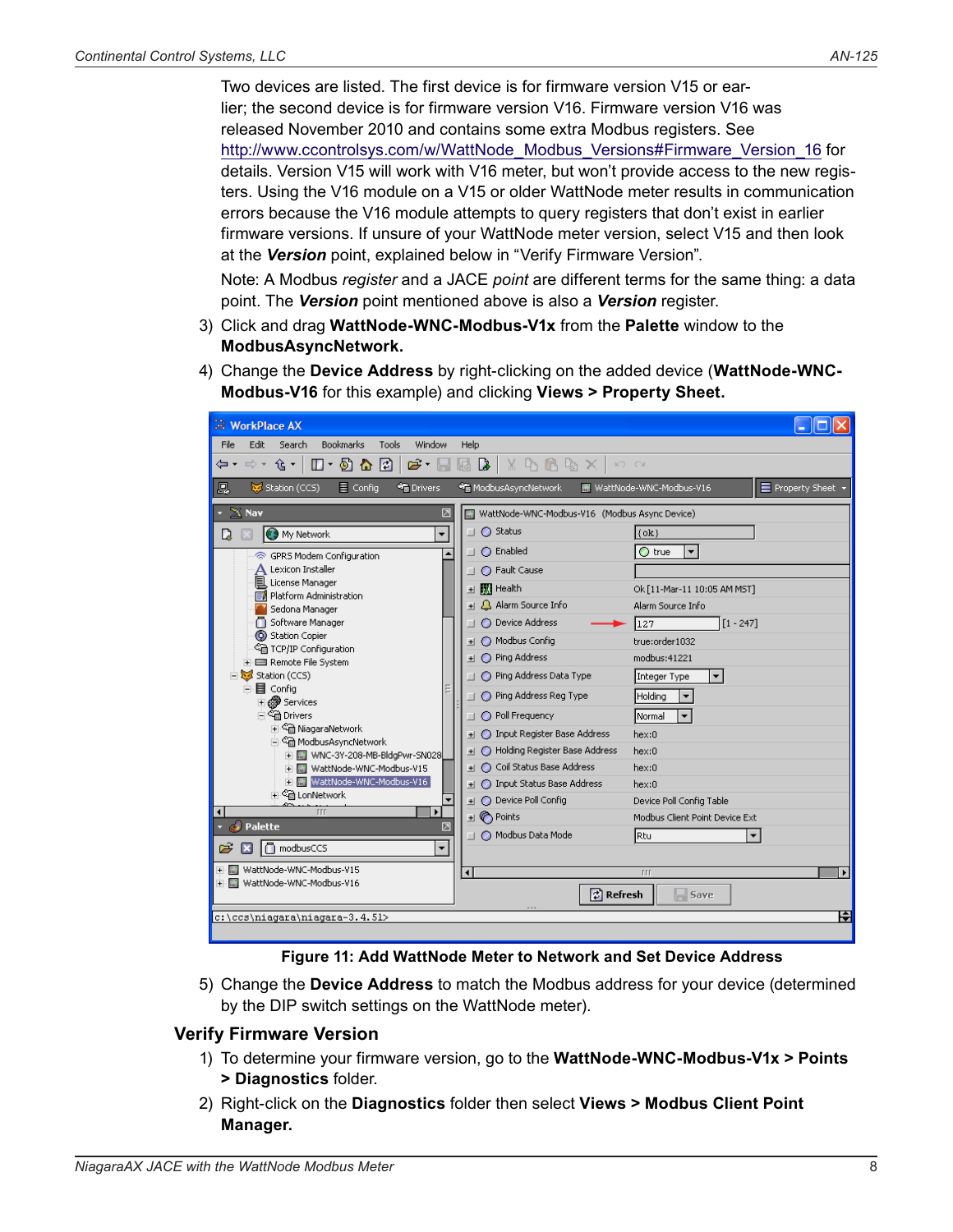Two devices are listed. The first device is for firmware version V15 or earlier; the second device is for firmware version V16. Firmware version V16 was released November 2010 and contains some extra Modbus registers. See http://www.ccontrolsys.com/w/WattNode\_Modbus\_Versions#Firmware\_Version\_16 for details. Version V15 will work with V16 meter, but won't provide access to the new registers. Using the V16 module on a V15 or older WattNode meter results in communication errors because the V16 module attempts to query registers that don't exist in earlier firmware versions. If unsure of your WattNode meter version, select V15 and then look at the *Version* point, explained below in ["Verify Firmware Version".](#page-7-0)

Note: A Modbus *register* and a JACE *point* are different terms for the same thing: a data point. The *Version* point mentioned above is also a *Version* register.

- 3) Click and drag **WattNode-WNC-Modbus-V1x** from the **Palette** window to the **ModbusAsyncNetwork.**
- 4) Change the **Device Address** by right-clicking on the added device (**WattNode-WNC-Modbus-V16** for this example) and clicking **Views > Property Sheet.**

| <b>WorkPlace AX</b>                                                                                                                                                                                                                                                                                                                                                                                                                                                                                                      |                                                                                                                                                                                                                                                                                                                                                                                                |                                                                                                                                                                                                                                           |
|--------------------------------------------------------------------------------------------------------------------------------------------------------------------------------------------------------------------------------------------------------------------------------------------------------------------------------------------------------------------------------------------------------------------------------------------------------------------------------------------------------------------------|------------------------------------------------------------------------------------------------------------------------------------------------------------------------------------------------------------------------------------------------------------------------------------------------------------------------------------------------------------------------------------------------|-------------------------------------------------------------------------------------------------------------------------------------------------------------------------------------------------------------------------------------------|
| File<br>Bookmarks<br>Window<br>Edit<br>Search<br>Tools                                                                                                                                                                                                                                                                                                                                                                                                                                                                   | Help                                                                                                                                                                                                                                                                                                                                                                                           |                                                                                                                                                                                                                                           |
| ⇦▾ ⇨▾ ⇧▼<br>$\Box$ + $\Box$ & $\Box$<br>2 · 1                                                                                                                                                                                                                                                                                                                                                                                                                                                                            | X F B B X<br>$\boxtimes$ $\boxtimes$                                                                                                                                                                                                                                                                                                                                                           | $\begin{array}{cc} \text{KJ} & \text{CM} \end{array}$                                                                                                                                                                                     |
| 鳯<br>$\equiv$ Config<br><b>SE</b> Drivers<br>Station (CCS)                                                                                                                                                                                                                                                                                                                                                                                                                                                               | ModbusAsyncNetwork                                                                                                                                                                                                                                                                                                                                                                             | Property Sheet<br>WattNode-WNC-Modbus-V16                                                                                                                                                                                                 |
| $ \times$ Nav<br>团                                                                                                                                                                                                                                                                                                                                                                                                                                                                                                       | WattNode-WNC-Modbus-V16 (Modbus Async Device)<br>$\Box$ $\bigcirc$ Status                                                                                                                                                                                                                                                                                                                      |                                                                                                                                                                                                                                           |
| ÷<br><sup>9</sup> My Network<br>L)<br>۰                                                                                                                                                                                                                                                                                                                                                                                                                                                                                  | $\Box$ $\bigcirc$ Enabled                                                                                                                                                                                                                                                                                                                                                                      | $\{$ ok $\}$<br>$\bigcirc$ true<br>$\overline{\phantom{a}}$                                                                                                                                                                               |
| S GPRS Modem Configuration<br>Lexicon Installer<br>License Manager<br><b>I</b> Platform Administration<br>Sedona Manager<br>Software Manager<br>Station Copier<br><sup>《</sup> TCP/IP Configuration<br>E Remote File System<br>Station (CCS)<br>白 <b>目</b> Config<br><b>⊞@®PServices</b><br>⊞ <sup>€</sup> NiagaraNetwork<br>白 <sup>@</sup> ModbusAsyncNetwork<br>F M WNC-3Y-208-MB-BldgPwr-SN028<br>由 图 WattNode-WNC-Modbus-V15<br>EF M WattNode-WNC-Modbus-V16<br>⊞ जी LonNetwork<br>$\blacksquare$<br><b>III</b><br>٠ | ◯ Fault Cause<br><b>±       Health</b><br>+ 2 Alarm Source Info<br>◯ Device Address<br>+ C Modbus Config<br>$\pm$ $\bigcirc$ Ping Address<br>Ping Address Data Type<br>◯ Ping Address Reg Type<br>O Poll Frequency<br>n l<br>+ C Input Register Base Address<br>+     Holding Register Base Address<br>+ C Coil Status Base Address<br>+ C Input Status Base Address<br>+ O Device Poll Config | Ok [11-Mar-11 10:05 AM MST]<br>Alarm Source Info<br>$1 - 247$<br>127<br>true:order1032<br>modbus: 41221<br>Integer Type<br>$\blacktriangledown$<br>Holding<br>▼<br>Normal<br>hex:0<br>hex:0<br>hex:0<br>hex:0<br>Device Poll Config Table |
| <b>C</b> Palette<br>囨                                                                                                                                                                                                                                                                                                                                                                                                                                                                                                    | $\text{H} \bigotimes$ Points                                                                                                                                                                                                                                                                                                                                                                   | Modbus Client Point Device Ext                                                                                                                                                                                                            |
| ÷<br>modbusCCS                                                                                                                                                                                                                                                                                                                                                                                                                                                                                                           | O Modbus Data Mode                                                                                                                                                                                                                                                                                                                                                                             | lRtu.<br>$\overline{\phantom{a}}$                                                                                                                                                                                                         |
| F MattNode-WNC-Modbus-V15                                                                                                                                                                                                                                                                                                                                                                                                                                                                                                | $\blacktriangleleft$                                                                                                                                                                                                                                                                                                                                                                           | <b>TTT</b><br>$\blacktriangleright$                                                                                                                                                                                                       |
| in III WattNode-WNC-Modbus-V16                                                                                                                                                                                                                                                                                                                                                                                                                                                                                           | $\left\vert z\right\vert$ Refresh                                                                                                                                                                                                                                                                                                                                                              | $\parallel$ 5ave                                                                                                                                                                                                                          |
| c:\ccs\niagara\niagara-3.4.51>                                                                                                                                                                                                                                                                                                                                                                                                                                                                                           |                                                                                                                                                                                                                                                                                                                                                                                                | Н                                                                                                                                                                                                                                         |
|                                                                                                                                                                                                                                                                                                                                                                                                                                                                                                                          |                                                                                                                                                                                                                                                                                                                                                                                                |                                                                                                                                                                                                                                           |

<span id="page-7-0"></span>**Figure 11: Add WattNode Meter to Network and Set Device Address**

5) Change the **Device Address** to match the Modbus address for your device (determined by the DIP switch settings on the WattNode meter).

#### **Verify Firmware Version**

- 1) To determine your firmware version, go to the **WattNode-WNC-Modbus-V1x > Points > Diagnostics** folder.
- 2) Right-click on the **Diagnostics** folder then select **Views > Modbus Client Point Manager.**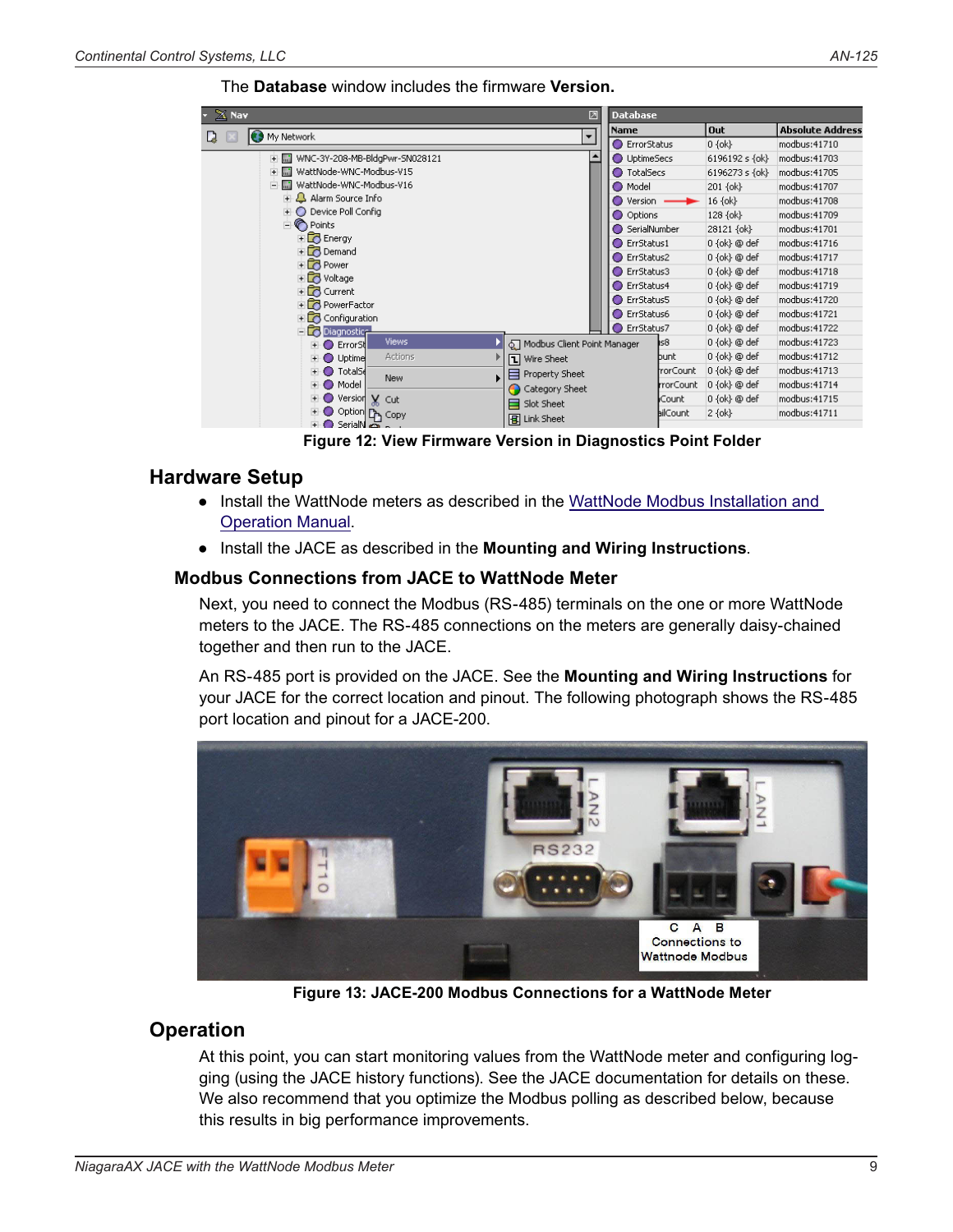#### The **Database** window includes the firmware **Version.**

| $X$ Nav                                          | Database                     |                                      |                                  |                   |                         |
|--------------------------------------------------|------------------------------|--------------------------------------|----------------------------------|-------------------|-------------------------|
| <b>O</b> My Network                              | $\overline{\phantom{a}}$     | Name                                 |                                  | <b>Out</b>        | <b>Absolute Address</b> |
| Q.                                               |                              | <b>●</b> ErrorStatus                 |                                  | $0 \{ ok \}$      | modbus: 41710           |
| WNC-3Y-208-MB-BldgPwr-SN028121<br>$+ \cdot$ m    | $\blacktriangle$             | O UptimeSecs                         |                                  | 6196192 s {ok}    | modbus: 41703           |
| WattNode-WNC-Modbus-V15<br>$+$<br>m <sup>2</sup> |                              | <b>O</b> TotalSecs<br>6196273 s {ok} |                                  | modbus: 41705     |                         |
| WattNode-WNC-Modbus-V16<br>Ė                     |                              | O Model                              |                                  | 201 {ok}          | modbus: 41707           |
| <b>E</b> Alarm Source Info                       |                              | Version<br>0.                        |                                  | 16 {ok}           | modbus: 41708           |
| <b>E</b> Device Poll Config                      |                              | O Options                            |                                  | 128 {ok}          | modbus: 41709           |
| <b>D</b> Points                                  |                              | SerialNumber                         |                                  | 28121 {ok}        | modbus: 41701           |
| Energy                                           |                              | ErrStatus1                           |                                  | 0 {ok} @ def      | modbus: 41716           |
| $\overline{+}$ Demand                            | ErrStatus2                   |                                      | $0 \{ ok \} @def$                | modbus: 41717     |                         |
| <b>E</b> Power<br><b>+ o</b> Voltage             | ◯ ErrStatus3<br>0 {ok} @ def |                                      |                                  | modbus: 41718     |                         |
| En Current                                       |                              | ErrStatus4<br>0 {ok} @ def           |                                  | modbus: 41719     |                         |
| <b>Fig.</b> PowerFactor                          |                              |                                      | $0 \{ ok \} @$ def<br>ErrStatus5 |                   | modbus: 41720           |
| $\overline{+}$ Configuration                     |                              | ErrStatus6                           |                                  | $0 \{ ok \} @def$ | modbus: 41721           |
| <b>Diagnostice</b>                               |                              | ErrStatus7                           |                                  | 0 {ok} @ def      | modbus: 41722           |
| Views:<br>Error <sub>5</sub><br>◠                | Modbus Client Point Manager  |                                      | ls8                              | 0 {ok} @ def      | modbus: 41723           |
| Actions<br>Uptime<br>$+$ $\bullet$               | <b>T</b> Wire Sheet          |                                      | bunt                             | 0 {ok} @ def      | modbus: 41712           |
| <b>TotalSd</b><br>÷O                             | Property Sheet<br>E          |                                      | rorCount                         | 0 {ok} @ def      | modbus: 41713           |
| New<br>Model<br>$+$ $\bullet$                    | Category Sheet<br>≏          |                                      | rrorCount                        | $0 \{ ok \} @def$ | modbus: 41714           |
| Version X Cut<br>E O                             | Slot Sheet<br>⊟              |                                      | Count                            | $0 \{ ok \} @def$ | modbus: 41715           |
| + O Option To Copy<br><b>ELO</b> SerialN az      | <b>B</b> Link Sheet          |                                      | <b>bil</b> Count                 | $2\{ok\}$         | modbus: 41711           |

**Figure 12: View Firmware Version in Diagnostics Point Folder**

# **Hardware Setup**

- Install the WattNode meters as described in the [WattNode Modbus Installation and](http://www.ccontrolsys.com/w/WattNode_Modbus_Manual)  [Operation Manual](http://www.ccontrolsys.com/w/WattNode_Modbus_Manual).
- Install the JACE as described in the **Mounting and Wiring Instructions**.

## **Modbus Connections from JACE to WattNode Meter**

Next, you need to connect the Modbus (RS-485) terminals on the one or more WattNode meters to the JACE. The RS-485 connections on the meters are generally daisy-chained together and then run to the JACE.

An RS-485 port is provided on the JACE. See the **Mounting and Wiring Instructions** for your JACE for the correct location and pinout. The following photograph shows the RS-485 port location and pinout for a JACE-200.



**Figure 13: JACE-200 Modbus Connections for a WattNode Meter**

# **Operation**

At this point, you can start monitoring values from the WattNode meter and configuring logging (using the JACE history functions). See the JACE documentation for details on these. We also recommend that you optimize the Modbus polling as described below, because this results in big performance improvements.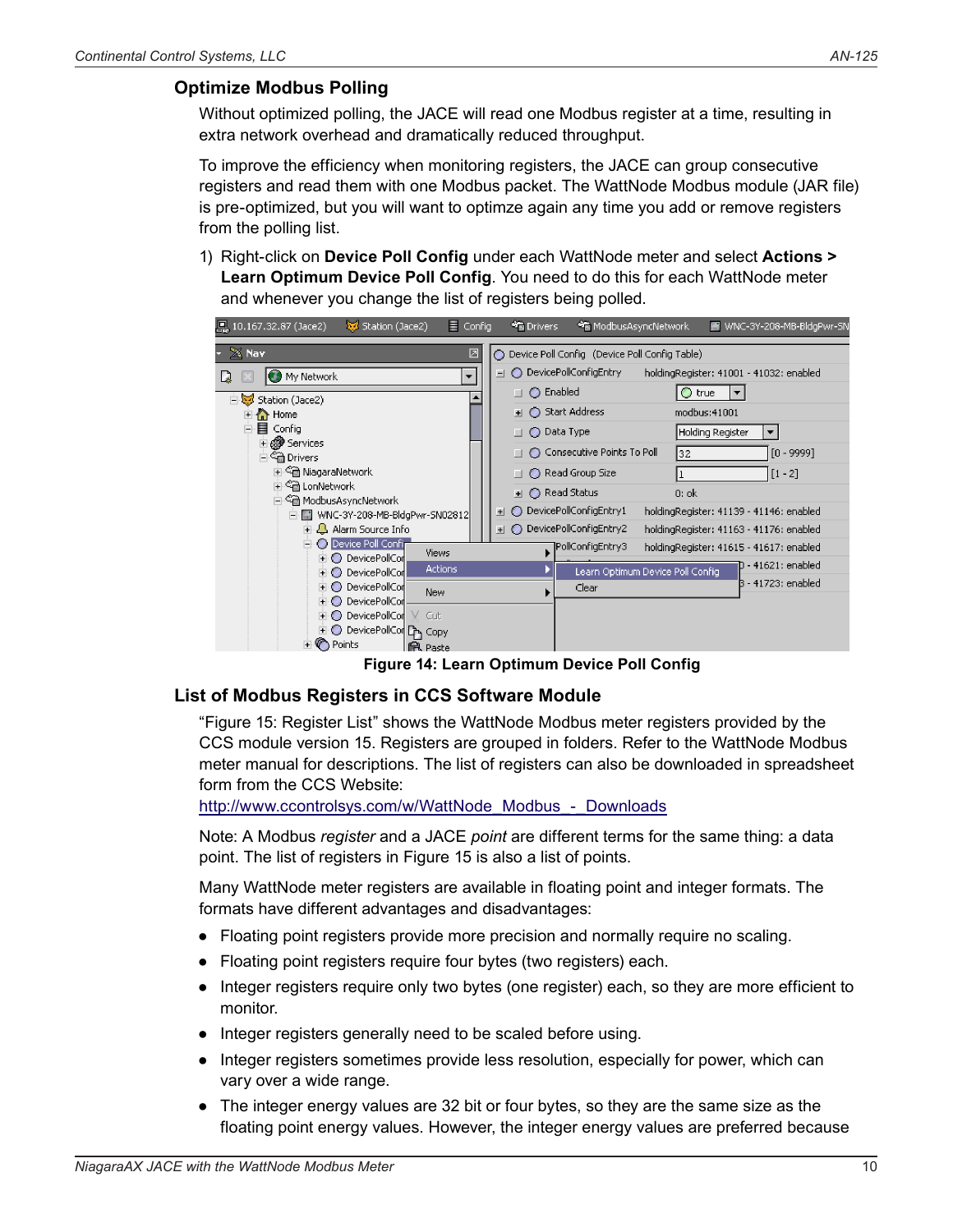## **Optimize Modbus Polling**

Without optimized polling, the JACE will read one Modbus register at a time, resulting in extra network overhead and dramatically reduced throughput.

To improve the efficiency when monitoring registers, the JACE can group consecutive registers and read them with one Modbus packet. The WattNode Modbus module (JAR file) is pre-optimized, but you will want to optimze again any time you add or remove registers from the polling list.

1) Right-click on **Device Poll Config** under each WattNode meter and select **Actions > Learn Optimum Device Poll Config**. You need to do this for each WattNode meter and whenever you change the list of registers being polled.



**Figure 14: Learn Optimum Device Poll Config**

#### **List of Modbus Registers in CCS Software Module**

["Figure 15: Register List"](#page-12-0) shows the WattNode Modbus meter registers provided by the CCS module version 15. Registers are grouped in folders. Refer to the WattNode Modbus meter manual for descriptions. The list of registers can also be downloaded in spreadsheet form from the CCS Website:

[http://www.ccontrolsys.com/w/WattNode\\_Modbus\\_-\\_Downloads](http://www.ccontrolsys.com/w/WattNode_Modbus_-_Downloads)

Note: A Modbus *register* and a JACE *point* are different terms for the same thing: a data point. The list of registers in [Figure 15](#page-12-0) is also a list of points.

Many WattNode meter registers are available in floating point and integer formats. The formats have different advantages and disadvantages:

- Floating point registers provide more precision and normally require no scaling.
- Floating point registers require four bytes (two registers) each.
- Integer registers require only two bytes (one register) each, so they are more efficient to monitor.
- Integer registers generally need to be scaled before using.
- Integer registers sometimes provide less resolution, especially for power, which can vary over a wide range.
- The integer energy values are 32 bit or four bytes, so they are the same size as the floating point energy values. However, the integer energy values are preferred because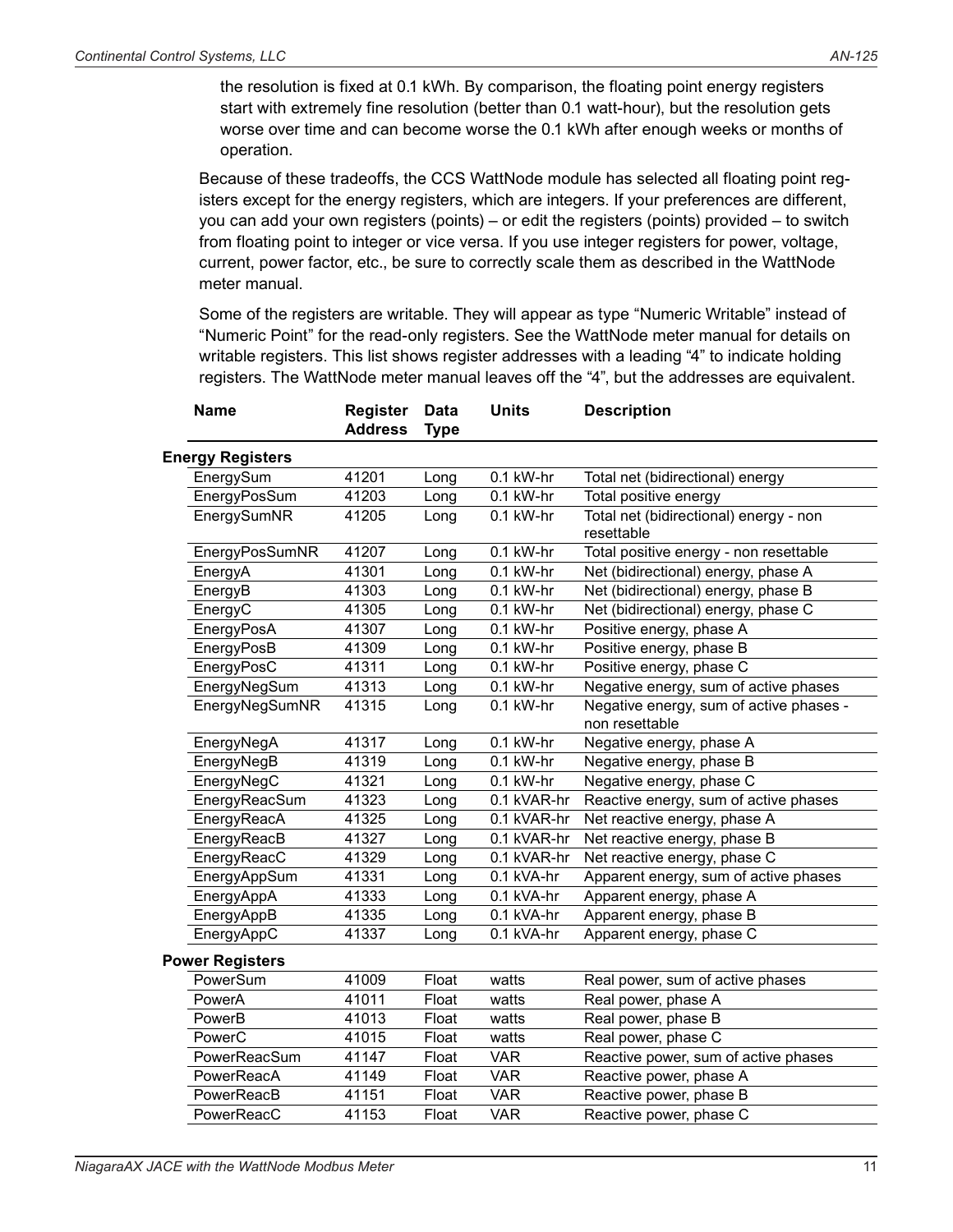the resolution is fixed at 0.1 kWh. By comparison, the floating point energy registers start with extremely fine resolution (better than 0.1 watt-hour), but the resolution gets worse over time and can become worse the 0.1 kWh after enough weeks or months of operation.

Because of these tradeoffs, the CCS WattNode module has selected all floating point registers except for the energy registers, which are integers. If your preferences are different, you can add your own registers (points) – or edit the registers (points) provided – to switch from floating point to integer or vice versa. If you use integer registers for power, voltage, current, power factor, etc., be sure to correctly scale them as described in the WattNode meter manual.

Some of the registers are writable. They will appear as type "Numeric Writable" instead of "Numeric Point" for the read-only registers. See the WattNode meter manual for details on writable registers. This list shows register addresses with a leading "4" to indicate holding registers. The WattNode meter manual leaves off the "4", but the addresses are equivalent.

| <b>Name</b>             | Register<br><b>Address</b> | <b>Data</b><br><b>Type</b> | <b>Units</b> | <b>Description</b>                                        |
|-------------------------|----------------------------|----------------------------|--------------|-----------------------------------------------------------|
| <b>Energy Registers</b> |                            |                            |              |                                                           |
| EnergySum               | 41201                      | Long                       | 0.1 kW-hr    | Total net (bidirectional) energy                          |
| EnergyPosSum            | 41203                      | Long                       | 0.1 kW-hr    | Total positive energy                                     |
| EnergySumNR             | 41205                      | Long                       | 0.1 kW-hr    | Total net (bidirectional) energy - non<br>resettable      |
| EnergyPosSumNR          | 41207                      | Long                       | 0.1 kW-hr    | Total positive energy - non resettable                    |
| EnergyA                 | 41301                      | Long                       | 0.1 kW-hr    | Net (bidirectional) energy, phase A                       |
| EnergyB                 | 41303                      | Long                       | $0.1$ kW-hr  | Net (bidirectional) energy, phase B                       |
| EnergyC                 | 41305                      | Long                       | 0.1 kW-hr    | Net (bidirectional) energy, phase C                       |
| EnergyPosA              | 41307                      | Long                       | 0.1 kW-hr    | Positive energy, phase A                                  |
| EnergyPosB              | 41309                      | Long                       | 0.1 kW-hr    | Positive energy, phase B                                  |
| EnergyPosC              | 41311                      | Long                       | 0.1 kW-hr    | Positive energy, phase C                                  |
| EnergyNegSum            | 41313                      | Long                       | 0.1 kW-hr    | Negative energy, sum of active phases                     |
| EnergyNegSumNR          | 41315                      | Long                       | 0.1 kW-hr    | Negative energy, sum of active phases -<br>non resettable |
| EnergyNegA              | 41317                      | Long                       | 0.1 kW-hr    | Negative energy, phase A                                  |
| EnergyNegB              | 41319                      | Long                       | $0.1$ kW-hr  | Negative energy, phase B                                  |
| EnergyNegC              | 41321                      | Long                       | 0.1 kW-hr    | Negative energy, phase C                                  |
| EnergyReacSum           | 41323                      | Long                       | 0.1 kVAR-hr  | Reactive energy, sum of active phases                     |
| EnergyReacA             | 41325                      | Long                       | 0.1 kVAR-hr  | Net reactive energy, phase A                              |
| EnergyReacB             | 41327                      | Long                       | 0.1 kVAR-hr  | Net reactive energy, phase B                              |
| EnergyReacC             | 41329                      | Long                       | 0.1 kVAR-hr  | Net reactive energy, phase C                              |
| EnergyAppSum            | 41331                      | Long                       | 0.1 kVA-hr   | Apparent energy, sum of active phases                     |
| EnergyAppA              | 41333                      | Long                       | 0.1 kVA-hr   | Apparent energy, phase A                                  |
| EnergyAppB              | 41335                      | Long                       | 0.1 kVA-hr   | Apparent energy, phase B                                  |
| EnergyAppC              | 41337                      | Long                       | $0.1$ kVA-hr | Apparent energy, phase C                                  |
| <b>Power Registers</b>  |                            |                            |              |                                                           |
| PowerSum                | 41009                      | Float                      | watts        | Real power, sum of active phases                          |
| PowerA                  | 41011                      | Float                      | watts        | Real power, phase A                                       |
| PowerB                  | 41013                      | Float                      | watts        | Real power, phase B                                       |
| PowerC                  | 41015                      | Float                      | watts        | Real power, phase C                                       |
| PowerReacSum            | 41147                      | Float                      | <b>VAR</b>   | Reactive power, sum of active phases                      |
| PowerReacA              | 41149                      | Float                      | <b>VAR</b>   | Reactive power, phase A                                   |
| PowerReacB              | 41151                      | Float                      | <b>VAR</b>   | Reactive power, phase B                                   |
| PowerReacC              | 41153                      | Float                      | <b>VAR</b>   | Reactive power, phase C                                   |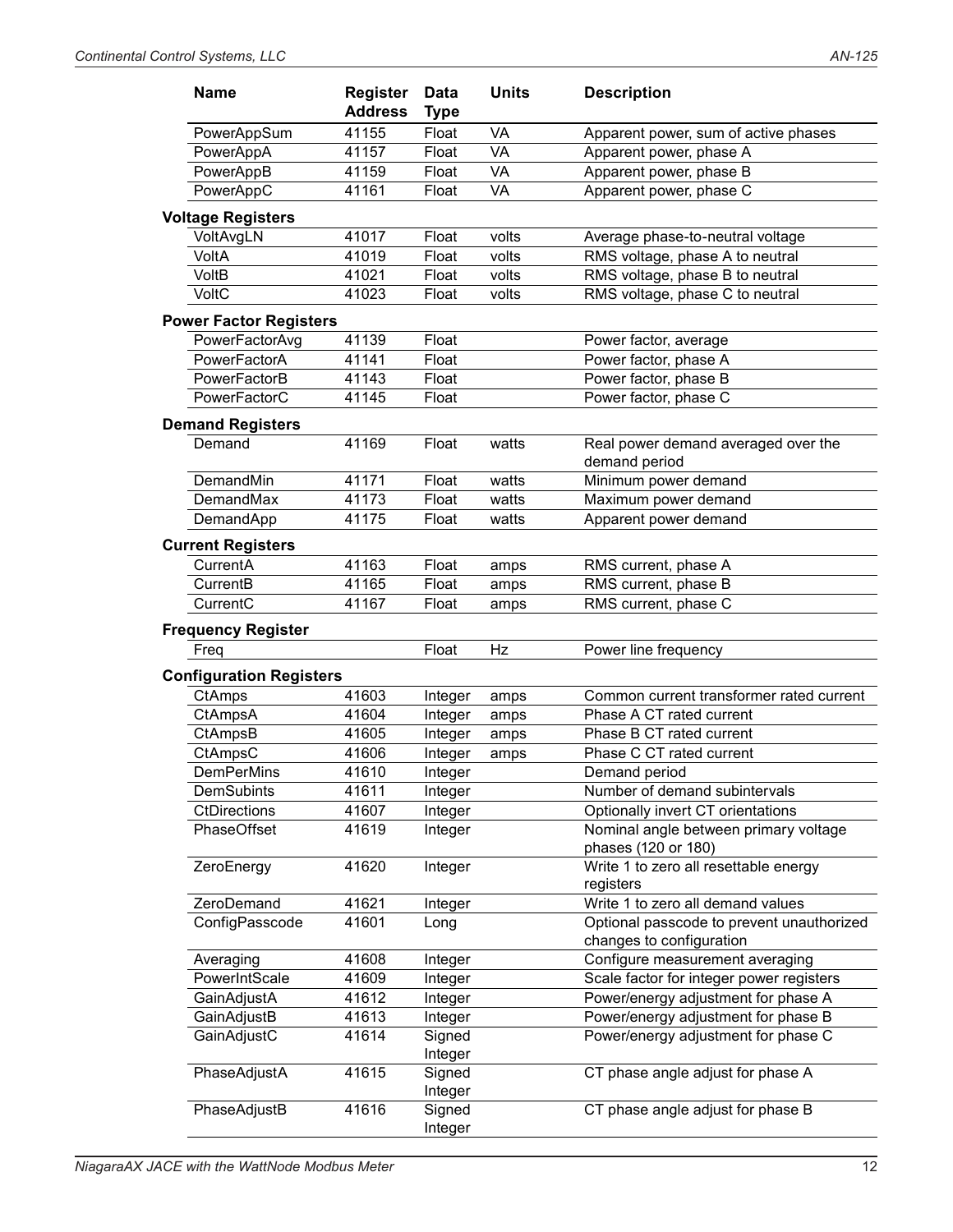| <b>Name</b>                    | <b>Register</b><br><b>Address</b> | Data<br><b>Type</b> | <b>Units</b> | <b>Description</b>                                           |
|--------------------------------|-----------------------------------|---------------------|--------------|--------------------------------------------------------------|
| PowerAppSum                    | 41155                             | Float               | VA           | Apparent power, sum of active phases                         |
| PowerAppA                      | 41157                             | Float               | VA           | Apparent power, phase A                                      |
| PowerAppB                      | 41159                             | Float               | VA           | Apparent power, phase B                                      |
| PowerAppC                      | 41161                             | Float               | VA           | Apparent power, phase C                                      |
| <b>Voltage Registers</b>       |                                   |                     |              |                                                              |
| VoltAvgLN                      | 41017                             | Float               | volts        | Average phase-to-neutral voltage                             |
| VoltA                          | 41019                             | Float               | volts        | RMS voltage, phase A to neutral                              |
| VoltB                          | 41021                             | Float               | volts        | RMS voltage, phase B to neutral                              |
| VoltC                          | 41023                             | Float               | volts        | RMS voltage, phase C to neutral                              |
| <b>Power Factor Registers</b>  |                                   |                     |              |                                                              |
| PowerFactorAvg                 | 41139                             | Float               |              | Power factor, average                                        |
| PowerFactorA                   | 41141                             | Float               |              | Power factor, phase A                                        |
| PowerFactorB                   | 41143                             | Float               |              | Power factor, phase B                                        |
| PowerFactorC                   | 41145                             | Float               |              | Power factor, phase C                                        |
| <b>Demand Registers</b>        |                                   |                     |              |                                                              |
| Demand                         | 41169                             | Float               | watts        | Real power demand averaged over the<br>demand period         |
| DemandMin                      | 41171                             | Float               | watts        | Minimum power demand                                         |
| DemandMax                      | 41173                             | Float               | watts        | Maximum power demand                                         |
| DemandApp                      | 41175                             | Float               | watts        | Apparent power demand                                        |
| <b>Current Registers</b>       |                                   |                     |              |                                                              |
| CurrentA                       | 41163                             | Float               | amps         | RMS current, phase A                                         |
| CurrentB                       | 41165                             | Float               | amps         | RMS current, phase B                                         |
| CurrentC                       | 41167                             | Float               | amps         | RMS current, phase C                                         |
| <b>Frequency Register</b>      |                                   |                     |              |                                                              |
| Freq                           |                                   | Float               | Hz           | Power line frequency                                         |
| <b>Configuration Registers</b> |                                   |                     |              |                                                              |
| CtAmps                         | 41603                             | Integer             | amps         | Common current transformer rated current                     |
| CtAmpsA                        | 41604                             | Integer             | amps         | Phase A CT rated current                                     |
| CtAmpsB                        | 41605                             | Integer             | amps         | Phase B CT rated current                                     |
| CtAmpsC                        | 41606                             | Integer             | amps         | Phase C CT rated current                                     |
| <b>DemPerMins</b>              | 41610                             | Integer             |              | Demand period                                                |
| DemSubints                     | 41611                             | Integer             |              | Number of demand subintervals                                |
| <b>CtDirections</b>            | 41607                             | Integer             |              | Optionally invert CT orientations                            |
| PhaseOffset                    | 41619                             | Integer             |              | Nominal angle between primary voltage<br>phases (120 or 180) |
| ZeroEnergy                     | 41620                             | Integer             |              | Write 1 to zero all resettable energy<br>registers           |
| ZeroDemand                     | 41621                             | Integer             |              | Write 1 to zero all demand values                            |
| ConfigPasscode                 | 41601                             | Long                |              | Optional passcode to prevent unauthorized                    |
|                                |                                   |                     |              | changes to configuration                                     |
| Averaging                      | 41608                             | Integer             |              | Configure measurement averaging                              |
| PowerIntScale                  | 41609                             | Integer             |              | Scale factor for integer power registers                     |
| GainAdjustA                    | 41612                             | Integer             |              | Power/energy adjustment for phase A                          |
| GainAdjustB                    | 41613                             | Integer             |              | Power/energy adjustment for phase B                          |
| GainAdjustC                    | 41614                             | Signed<br>Integer   |              | Power/energy adjustment for phase C                          |
| PhaseAdjustA                   | 41615                             | Signed<br>Integer   |              | CT phase angle adjust for phase A                            |
| PhaseAdjustB                   | 41616                             | Signed<br>Integer   |              | CT phase angle adjust for phase B                            |